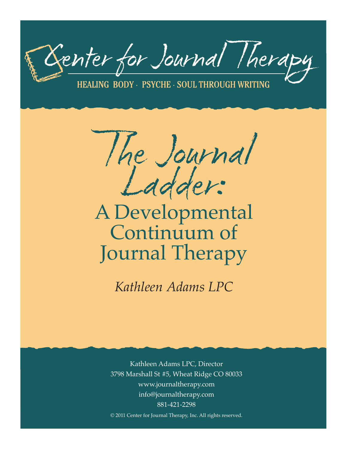

HEALING BODY - PSYCHE - SOUL THROUGH WRITING

The Journal Ladder:

# A Developmental Continuum of Journal Therapy

*Kathleen Adams LPC*

Kathleen Adams LPC, Director 3798 Marshall St #5, Wheat Ridge CO 80033 www.journaltherapy.com info@journaltherapy.com 881-421-2298 © 2011 Center for Journal Therapy, Inc. All rights reserved.

i<br>L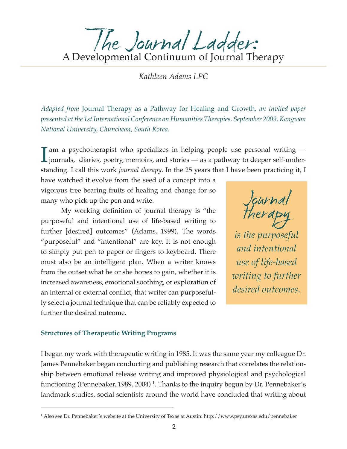The Journal Ladder:<br>A Developmental Continuum of Journal Therapy

*Kathleen Adams LPC*

*Adapted from* Journal Therapy as a Pathway for Healing and Growth*, an invited paper presented at the 1st International Conference on Humanities Therapies, September 2009, Kangwon National University, Chuncheon, South Korea.*

 $\prod_{\substack{j\text{c} \text{odd}}}$ am a psychotherapist who specializes in helping people use personal writing journals, diaries, poetry, memoirs, and stories — as a pathway to deeper self-understanding. I call this work *journal therapy*. In the 25 years that I have been practicing it, I

have watched it evolve from the seed of a concept into a vigorous tree bearing fruits of healing and change for so many who pick up the pen and write.

 My working definition of journal therapy is "the purposeful and intentional use of life-based writing to further [desired] outcomes" (Adams, 1999). The words "purposeful" and "intentional" are key. It is not enough to simply put pen to paper or fingers to keyboard. There must also be an intelligent plan. When a writer knows from the outset what he or she hopes to gain, whether it is increased awareness, emotional soothing, or exploration of an internal or external conflict, that writer can purposefully select a journal technique that can be reliably expected to further the desired outcome.

Journal therapy *is the purposeful and intentional use of life-based writing to further desired outcomes.*

#### **Structures of Therapeutic Writing Programs**

I began my work with therapeutic writing in 1985. It was the same year my colleague Dr. James Pennebaker began conducting and publishing research that correlates the relationship between emotional release writing and improved physiological and psychological functioning (Pennebaker, 1989, 2004) 1 . Thanks to the inquiry begun by Dr. Pennebaker's landmark studies, social scientists around the world have concluded that writing about

<sup>1</sup> Also see Dr. Pennebaker's website at the University of Texas at Austin: http://www.psy.utexas.edu/pennebaker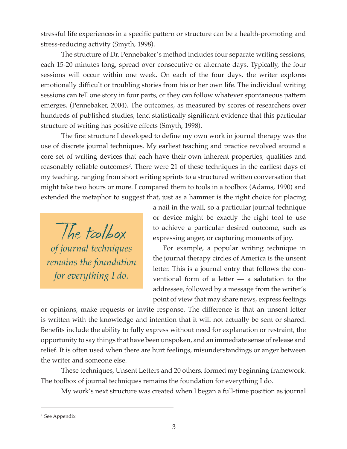stressful life experiences in a specific pattern or structure can be a health-promoting and stress-reducing activity (Smyth, 1998).

The structure of Dr. Pennebaker's method includes four separate writing sessions, each 15-20 minutes long, spread over consecutive or alternate days. Typically, the four sessions will occur within one week. On each of the four days, the writer explores emotionally difficult or troubling stories from his or her own life. The individual writing sessions can tell one story in four parts, or they can follow whatever spontaneous pattern emerges. (Pennebaker, 2004). The outcomes, as measured by scores of researchers over hundreds of published studies, lend statistically significant evidence that this particular structure of writing has positive effects (Smyth, 1998).

 The first structure I developed to define my own work in journal therapy was the use of discrete journal techniques. My earliest teaching and practice revolved around a core set of writing devices that each have their own inherent properties, qualities and reasonably reliable outcomes<sup>2</sup>. There were 21 of these techniques in the earliest days of my teaching, ranging from short writing sprints to a structured written conversation that might take two hours or more. I compared them to tools in a toolbox (Adams, 1990) and extended the metaphor to suggest that, just as a hammer is the right choice for placing

The toolbox *of journal techniques remains the foundation for everything I do.*

a nail in the wall, so a particular journal technique or device might be exactly the right tool to use to achieve a particular desired outcome, such as expressing anger, or capturing moments of joy.

For example, a popular writing technique in the journal therapy circles of America is the unsent letter. This is a journal entry that follows the conventional form of a letter — a salutation to the addressee, followed by a message from the writer's point of view that may share news, express feelings

or opinions, make requests or invite response. The difference is that an unsent letter is written with the knowledge and intention that it will not actually be sent or shared. Benefits include the ability to fully express without need for explanation or restraint, the opportunity to say things that have been unspoken, and an immediate sense of release and relief. It is often used when there are hurt feelings, misunderstandings or anger between the writer and someone else.

These techniques, Unsent Letters and 20 others, formed my beginning framework. The toolbox of journal techniques remains the foundation for everything I do.

My work's next structure was created when I began a full-time position as journal

<sup>2</sup> See Appendix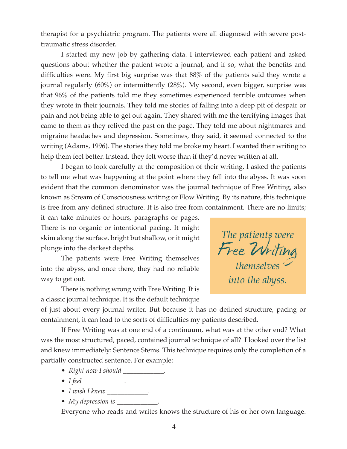therapist for a psychiatric program. The patients were all diagnosed with severe posttraumatic stress disorder.

I started my new job by gathering data. I interviewed each patient and asked questions about whether the patient wrote a journal, and if so, what the benefits and difficulties were. My first big surprise was that 88% of the patients said they wrote a journal regularly (60%) or intermittently (28%). My second, even bigger, surprise was that 96% of the patients told me they sometimes experienced terrible outcomes when they wrote in their journals. They told me stories of falling into a deep pit of despair or pain and not being able to get out again. They shared with me the terrifying images that came to them as they relived the past on the page. They told me about nightmares and migraine headaches and depression. Sometimes, they said, it seemed connected to the writing (Adams, 1996). The stories they told me broke my heart. I wanted their writing to help them feel better. Instead, they felt worse than if they'd never written at all.

I began to look carefully at the composition of their writing. I asked the patients to tell me what was happening at the point where they fell into the abyss. It was soon evident that the common denominator was the journal technique of Free Writing, also known as Stream of Consciousness writing or Flow Writing. By its nature, this technique is free from any defined structure. It is also free from containment. There are no limits;

it can take minutes or hours, paragraphs or pages. There is no organic or intentional pacing. It might skim along the surface, bright but shallow, or it might plunge into the darkest depths.

The patients were Free Writing themselves into the abyss, and once there, they had no reliable way to get out.

There is nothing wrong with Free Writing. It is a classic journal technique. It is the default technique



of just about every journal writer. But because it has no defined structure, pacing or containment, it can lead to the sorts of difficulties my patients described.

If Free Writing was at one end of a continuum, what was at the other end? What was the most structured, paced, contained journal technique of all? I looked over the list and knew immediately: Sentence Stems. This technique requires only the completion of a partially constructed sentence. For example:

- *Right now I should* \_\_\_\_\_\_\_\_\_\_\_\_.
- *I feel* \_\_\_\_\_\_\_\_\_\_\_\_.
- *I wish I knew* \_\_\_\_\_\_\_\_\_\_\_\_.
- *My depression is*

Everyone who reads and writes knows the structure of his or her own language.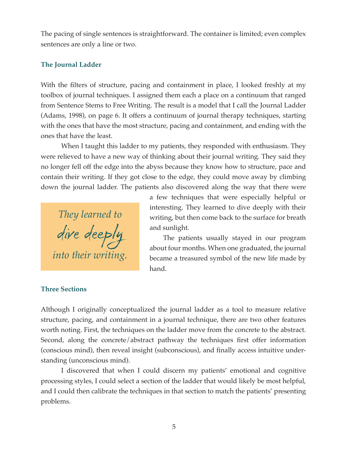The pacing of single sentences is straightforward. The container is limited; even complex sentences are only a line or two.

# **The Journal Ladder**

With the filters of structure, pacing and containment in place, I looked freshly at my toolbox of journal techniques. I assigned them each a place on a continuum that ranged from Sentence Stems to Free Writing. The result is a model that I call the Journal Ladder (Adams, 1998), on page 6. It offers a continuum of journal therapy techniques, starting with the ones that have the most structure, pacing and containment, and ending with the ones that have the least.

When I taught this ladder to my patients, they responded with enthusiasm. They were relieved to have a new way of thinking about their journal writing. They said they no longer fell off the edge into the abyss because they know how to structure, pace and contain their writing. If they got close to the edge, they could move away by climbing down the journal ladder. The patients also discovered along the way that there were

*They learned to*  dive deeply *into their writing.*

a few techniques that were especially helpful or interesting. They learned to dive deeply with their writing, but then come back to the surface for breath and sunlight.

The patients usually stayed in our program about four months. When one graduated, the journal became a treasured symbol of the new life made by hand.

## **Three Sections**

Although I originally conceptualized the journal ladder as a tool to measure relative structure, pacing, and containment in a journal technique, there are two other features worth noting. First, the techniques on the ladder move from the concrete to the abstract. Second, along the concrete/abstract pathway the techniques first offer information (conscious mind), then reveal insight (subconscious), and finally access intuitive understanding (unconscious mind).

I discovered that when I could discern my patients' emotional and cognitive processing styles, I could select a section of the ladder that would likely be most helpful, and I could then calibrate the techniques in that section to match the patients' presenting problems.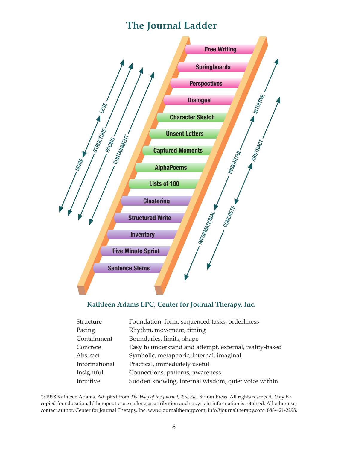# **The Journal Ladder**



# **Kathleen Adams LPC, Center for Journal Therapy, Inc.**

| Foundation, form, sequenced tasks, orderliness          |
|---------------------------------------------------------|
| Rhythm, movement, timing                                |
| Boundaries, limits, shape                               |
| Easy to understand and attempt, external, reality-based |
| Symbolic, metaphoric, internal, imaginal                |
| Practical, immediately useful                           |
| Connections, patterns, awareness                        |
| Sudden knowing, internal wisdom, quiet voice within     |
|                                                         |

© 1998 Kathleen Adams. Adapted from *The Way of the Journal, 2nd Ed*., Sidran Press. All rights reserved. May be copied for educational/therapeutic use so long as attribution and copyright information is retained. All other use, contact author. Center for Journal Therapy, Inc. www.journaltherapy.com, info@journaltherapy.com. 888-421-2298.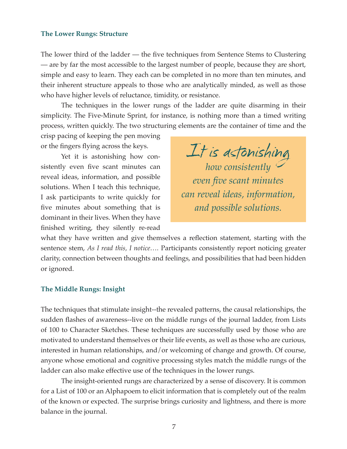#### **The Lower Rungs: Structure**

The lower third of the ladder — the five techniques from Sentence Stems to Clustering — are by far the most accessible to the largest number of people, because they are short, simple and easy to learn. They each can be completed in no more than ten minutes, and their inherent structure appeals to those who are analytically minded, as well as those who have higher levels of reluctance, timidity, or resistance.

The techniques in the lower rungs of the ladder are quite disarming in their simplicity. The Five-Minute Sprint, for instance, is nothing more than a timed writing process, written quickly. The two structuring elements are the container of time and the

crisp pacing of keeping the pen moving or the fingers flying across the keys.

Yet it is astonishing how consistently even five scant minutes can reveal ideas, information, and possible solutions. When I teach this technique, I ask participants to write quickly for five minutes about something that is dominant in their lives. When they have finished writing, they silently re-read



what they have written and give themselves a reflection statement, starting with the sentence stem, *As I read this, I notice….* Participants consistently report noticing greater clarity, connection between thoughts and feelings, and possibilities that had been hidden or ignored.

#### **The Middle Rungs: Insight**

The techniques that stimulate insight--the revealed patterns, the causal relationships, the sudden flashes of awareness--live on the middle rungs of the journal ladder, from Lists of 100 to Character Sketches. These techniques are successfully used by those who are motivated to understand themselves or their life events, as well as those who are curious, interested in human relationships, and/or welcoming of change and growth. Of course, anyone whose emotional and cognitive processing styles match the middle rungs of the ladder can also make effective use of the techniques in the lower rungs.

The insight-oriented rungs are characterized by a sense of discovery. It is common for a List of 100 or an Alphapoem to elicit information that is completely out of the realm of the known or expected. The surprise brings curiosity and lightness, and there is more balance in the journal.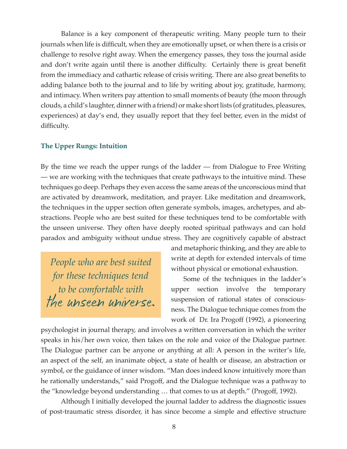Balance is a key component of therapeutic writing. Many people turn to their journals when life is difficult, when they are emotionally upset, or when there is a crisis or challenge to resolve right away. When the emergency passes, they toss the journal aside and don't write again until there is another difficulty. Certainly there is great benefit from the immediacy and cathartic release of crisis writing. There are also great benefits to adding balance both to the journal and to life by writing about joy, gratitude, harmony, and intimacy. When writers pay attention to small moments of beauty (the moon through clouds, a child's laughter, dinner with a friend) or make short lists (of gratitudes, pleasures, experiences) at day's end, they usually report that they feel better, even in the midst of difficulty.

### **The Upper Rungs: Intuition**

By the time we reach the upper rungs of the ladder — from Dialogue to Free Writing — we are working with the techniques that create pathways to the intuitive mind. These techniques go deep. Perhaps they even access the same areas of the unconscious mind that are activated by dreamwork, meditation, and prayer. Like meditation and dreamwork, the techniques in the upper section often generate symbols, images, archetypes, and abstractions. People who are best suited for these techniques tend to be comfortable with the unseen universe. They often have deeply rooted spiritual pathways and can hold paradox and ambiguity without undue stress. They are cognitively capable of abstract

*People who are best suited for these techniques tend to be comfortable with*  the unseen universe. and metaphoric thinking, and they are able to write at depth for extended intervals of time without physical or emotional exhaustion.

Some of the techniques in the ladder's upper section involve the temporary suspension of rational states of consciousness. The Dialogue technique comes from the work of Dr. Ira Progoff (1992), a pioneering

psychologist in journal therapy, and involves a written conversation in which the writer speaks in his/her own voice, then takes on the role and voice of the Dialogue partner. The Dialogue partner can be anyone or anything at all: A person in the writer's life, an aspect of the self, an inanimate object, a state of health or disease, an abstraction or symbol, or the guidance of inner wisdom. "Man does indeed know intuitively more than he rationally understands," said Progoff, and the Dialogue technique was a pathway to the "knowledge beyond understanding … that comes to us at depth." (Progoff, 1992).

Although I initially developed the journal ladder to address the diagnostic issues of post-traumatic stress disorder, it has since become a simple and effective structure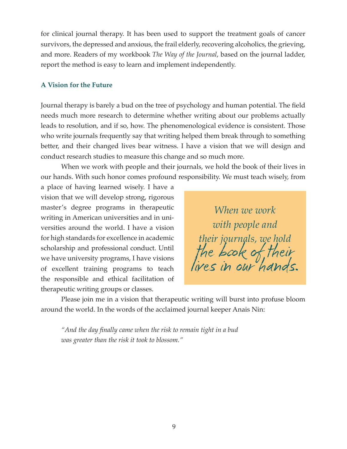for clinical journal therapy. It has been used to support the treatment goals of cancer survivors, the depressed and anxious, the frail elderly, recovering alcoholics, the grieving, and more. Readers of my workbook *The Way of the Journal*, based on the journal ladder, report the method is easy to learn and implement independently.

#### **A Vision for the Future**

Journal therapy is barely a bud on the tree of psychology and human potential. The field needs much more research to determine whether writing about our problems actually leads to resolution, and if so, how. The phenomenological evidence is consistent. Those who write journals frequently say that writing helped them break through to something better, and their changed lives bear witness. I have a vision that we will design and conduct research studies to measure this change and so much more.

When we work with people and their journals, we hold the book of their lives in our hands. With such honor comes profound responsibility. We must teach wisely, from

a place of having learned wisely. I have a vision that we will develop strong, rigorous master's degree programs in therapeutic writing in American universities and in universities around the world. I have a vision for high standards for excellence in academic scholarship and professional conduct. Until we have university programs, I have visions of excellent training programs to teach the responsible and ethical facilitation of therapeutic writing groups or classes.

*When we work with people and*  their journals, we hold<br>*the book of their*<br>lives in our hands.

Please join me in a vision that therapeutic writing will burst into profuse bloom around the world. In the words of the acclaimed journal keeper Anais Nin:

*"And the day finally came when the risk to remain tight in a bud was greater than the risk it took to blossom."*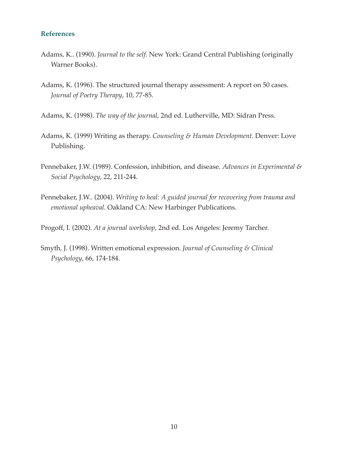#### **References**

- Adams, K.. (1990). *Journal to the self*. New York: Grand Central Publishing (originally Warner Books).
- Adams, K. (1996). The structured journal therapy assessment: A report on 50 cases. *Journal of Poetry Therapy*, 10, 77-85.
- Adams, K. (1998). *The way of the journal*, 2nd ed. Lutherville, MD: Sidran Press.
- Adams, K. (1999) Writing as therapy. *Counseling & Human Development*. Denver: Love Publishing.
- Pennebaker, J.W. (1989). Confession, inhibition, and disease. *Advances in Experimental & Social Psychology*, 22, 211-244.
- Pennebaker, J.W.. (2004). *Writing to heal: A guided journal for recovering from trauma and emotional upheaval*. Oakland CA: New Harbinger Publications.

Progoff, I. (2002). *At a journal workshop*, 2nd ed. Los Angeles: Jeremy Tarcher.

Smyth, J. (1998). Written emotional expression. *Journal of Counseling & Clinical Psychology*, 66, 174-184.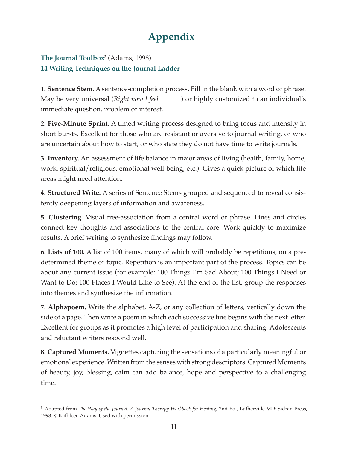# **Appendix**

# **The Journal Toolbox**<sup>3</sup> (Adams, 1998) **14 Writing Techniques on the Journal Ladder**

**1. Sentence Stem.** A sentence-completion process. Fill in the blank with a word or phrase. May be very universal (*Right now I feel \_\_\_\_\_\_*) or highly customized to an individual's immediate question, problem or interest.

**2. Five-Minute Sprint.** A timed writing process designed to bring focus and intensity in short bursts. Excellent for those who are resistant or aversive to journal writing, or who are uncertain about how to start, or who state they do not have time to write journals.

**3. Inventory.** An assessment of life balance in major areas of living (health, family, home, work, spiritual/religious, emotional well-being, etc.) Gives a quick picture of which life areas might need attention.

**4. Structured Write.** A series of Sentence Stems grouped and sequenced to reveal consistently deepening layers of information and awareness.

**5. Clustering.** Visual free-association from a central word or phrase. Lines and circles connect key thoughts and associations to the central core. Work quickly to maximize results. A brief writing to synthesize findings may follow.

**6. Lists of 100.** A list of 100 items, many of which will probably be repetitions, on a predetermined theme or topic. Repetition is an important part of the process. Topics can be about any current issue (for example: 100 Things I'm Sad About; 100 Things I Need or Want to Do; 100 Places I Would Like to See). At the end of the list, group the responses into themes and synthesize the information.

**7. Alphapoem.** Write the alphabet, A-Z, or any collection of letters, vertically down the side of a page. Then write a poem in which each successive line begins with the next letter. Excellent for groups as it promotes a high level of participation and sharing. Adolescents and reluctant writers respond well.

**8. Captured Moments.** Vignettes capturing the sensations of a particularly meaningful or emotional experience. Written from the senses with strong descriptors. Captured Moments of beauty, joy, blessing, calm can add balance, hope and perspective to a challenging time.

<sup>&</sup>lt;sup>3</sup> Adapted from *The Way of the Journal: A Journal Therapy Workbook for Healing*, 2nd Ed., Lutherville MD: Sidran Press, 1998. © Kathleen Adams. Used with permission.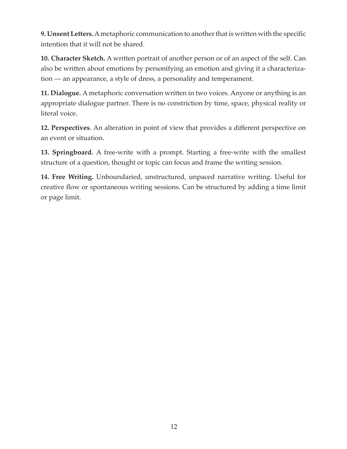**9. Unsent Letters.** A metaphoric communication to another that is written with the specific intention that it will not be shared.

**10. Character Sketch.** A written portrait of another person or of an aspect of the self. Can also be written about emotions by personifying an emotion and giving it a characterization — an appearance, a style of dress, a personality and temperament.

**11. Dialogue.** A metaphoric conversation written in two voices. Anyone or anything is an appropriate dialogue partner. There is no constriction by time, space, physical reality or literal voice.

**12. Perspectives**. An alteration in point of view that provides a different perspective on an event or situation.

**13. Springboard.** A free-write with a prompt. Starting a free-write with the smallest structure of a question, thought or topic can focus and frame the writing session.

**14. Free Writing.** Unboundaried, unstructured, unpaced narrative writing. Useful for creative flow or spontaneous writing sessions. Can be structured by adding a time limit or page limit.